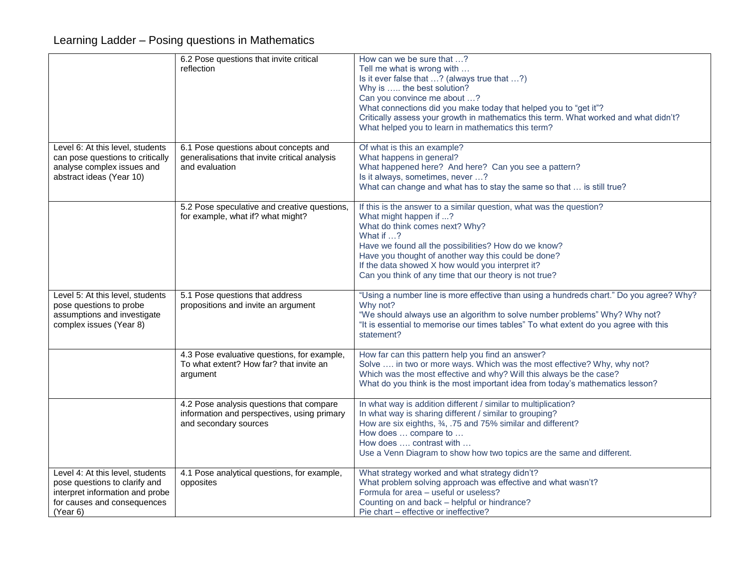## Learning Ladder – Posing questions in Mathematics

|                                                                                                                                                 | 6.2 Pose questions that invite critical<br>reflection                                                            | How can we be sure that ?<br>Tell me what is wrong with<br>Is it ever false that ? (always true that ?)<br>Why is  the best solution?<br>Can you convince me about ?<br>What connections did you make today that helped you to "get it"?<br>Critically assess your growth in mathematics this term. What worked and what didn't?<br>What helped you to learn in mathematics this term? |
|-------------------------------------------------------------------------------------------------------------------------------------------------|------------------------------------------------------------------------------------------------------------------|----------------------------------------------------------------------------------------------------------------------------------------------------------------------------------------------------------------------------------------------------------------------------------------------------------------------------------------------------------------------------------------|
| Level 6: At this level, students<br>can pose questions to critically<br>analyse complex issues and<br>abstract ideas (Year 10)                  | 6.1 Pose questions about concepts and<br>generalisations that invite critical analysis<br>and evaluation         | Of what is this an example?<br>What happens in general?<br>What happened here? And here? Can you see a pattern?<br>Is it always, sometimes, never ?<br>What can change and what has to stay the same so that  is still true?                                                                                                                                                           |
|                                                                                                                                                 | 5.2 Pose speculative and creative questions,<br>for example, what if? what might?                                | If this is the answer to a similar question, what was the question?<br>What might happen if ?<br>What do think comes next? Why?<br>What if ?<br>Have we found all the possibilities? How do we know?<br>Have you thought of another way this could be done?<br>If the data showed X how would you interpret it?<br>Can you think of any time that our theory is not true?              |
| Level 5: At this level, students<br>pose questions to probe<br>assumptions and investigate<br>complex issues (Year 8)                           | 5.1 Pose questions that address<br>propositions and invite an argument                                           | "Using a number line is more effective than using a hundreds chart." Do you agree? Why?<br>Why not?<br>"We should always use an algorithm to solve number problems" Why? Why not?<br>"It is essential to memorise our times tables" To what extent do you agree with this<br>statement?                                                                                                |
|                                                                                                                                                 | 4.3 Pose evaluative questions, for example,<br>To what extent? How far? that invite an<br>argument               | How far can this pattern help you find an answer?<br>Solve  in two or more ways. Which was the most effective? Why, why not?<br>Which was the most effective and why? Will this always be the case?<br>What do you think is the most important idea from today's mathematics lesson?                                                                                                   |
|                                                                                                                                                 | 4.2 Pose analysis questions that compare<br>information and perspectives, using primary<br>and secondary sources | In what way is addition different / similar to multiplication?<br>In what way is sharing different / similar to grouping?<br>How are six eighths, 34, .75 and 75% similar and different?<br>How does  compare to<br>How does  contrast with<br>Use a Venn Diagram to show how two topics are the same and different.                                                                   |
| Level 4: At this level, students<br>pose questions to clarify and<br>interpret information and probe<br>for causes and consequences<br>(Year 6) | 4.1 Pose analytical questions, for example,<br>opposites                                                         | What strategy worked and what strategy didn't?<br>What problem solving approach was effective and what wasn't?<br>Formula for area - useful or useless?<br>Counting on and back - helpful or hindrance?<br>Pie chart - effective or ineffective?                                                                                                                                       |